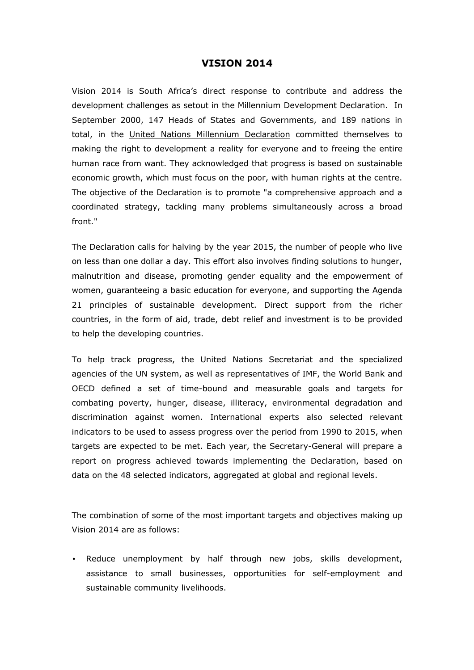## **VISION 2014**

Vision 2014 is South Africa's direct response to contribute and address the development challenges as setout in the Millennium Development Declaration. In September 2000, 147 Heads of States and Governments, and 189 nations in total, in the [United Nations Millennium Declaration](http://daccess-ods.un.org/access.nsf/Get?OpenAgent&DS=A/RES/55/2&Lang=E) committed themselves to making the right to development a reality for everyone and to freeing the entire human race from want. They acknowledged that progress is based on sustainable economic growth, which must focus on the poor, with human rights at the centre. The objective of the Declaration is to promote "a comprehensive approach and a coordinated strategy, tackling many problems simultaneously across a broad front."

The Declaration calls for halving by the year 2015, the number of people who live on less than one dollar a day. This effort also involves finding solutions to hunger, malnutrition and disease, promoting gender equality and the empowerment of women, guaranteeing a basic education for everyone, and supporting the Agenda 21 principles of sustainable development. Direct support from the richer countries, in the form of aid, trade, debt relief and investment is to be provided to help the developing countries.

To help track progress, the United Nations Secretariat and the specialized agencies of the UN system, as well as representatives of IMF, the World Bank and OECD defined a set of time-bound and measurable [goals and targets](http://millenniumindicators.un.org/unsd/mi/mi_goals.asp) for combating poverty, hunger, disease, illiteracy, environmental degradation and discrimination against women. International experts also selected relevant indicators to be used to assess progress over the period from 1990 to 2015, when targets are expected to be met. Each year, the Secretary-General will prepare a report on progress achieved towards implementing the Declaration, based on data on the 48 selected indicators, aggregated at global and regional levels.

The combination of some of the most important targets and objectives making up Vision 2014 are as follows:

• Reduce unemployment by half through new jobs, skills development, assistance to small businesses, opportunities for self-employment and sustainable community livelihoods.